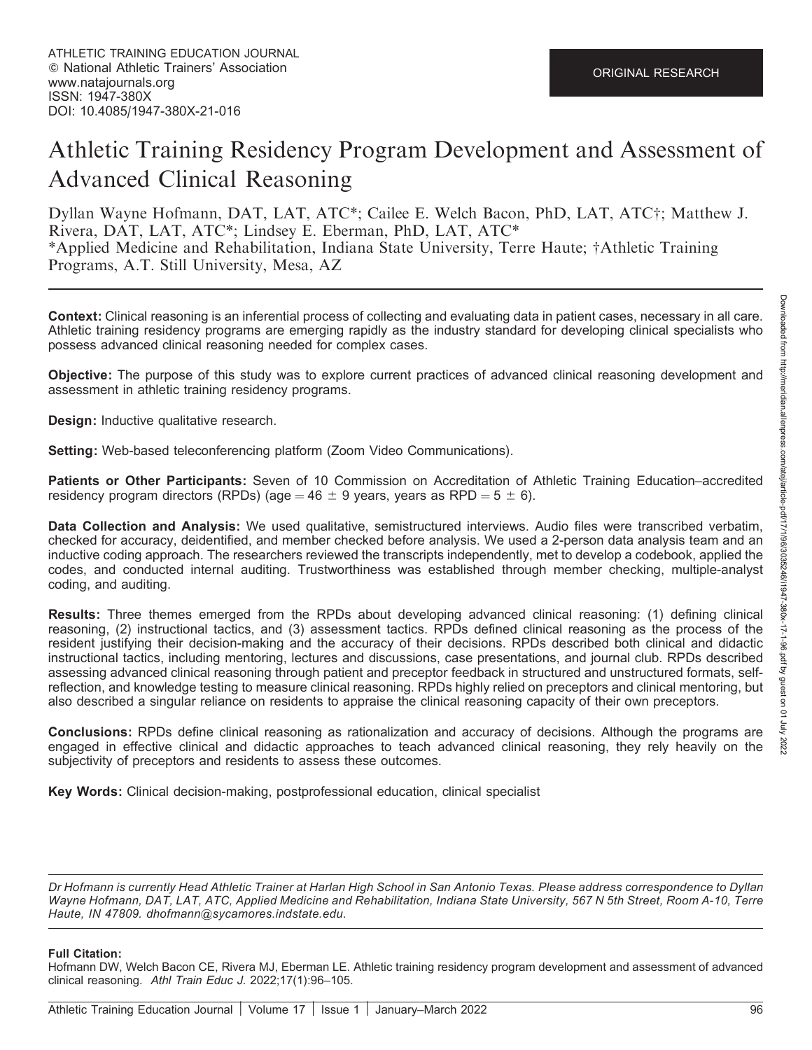# Athletic Training Residency Program Development and Assessment of Advanced Clinical Reasoning

Dyllan Wayne Hofmann, DAT, LAT, ATC\*; Cailee E. Welch Bacon, PhD, LAT, ATC†; Matthew J. Rivera, DAT, LAT, ATC\*; Lindsey E. Eberman, PhD, LAT, ATC\* \*Applied Medicine and Rehabilitation, Indiana State University, Terre Haute; †Athletic Training Programs, A.T. Still University, Mesa, AZ

Context: Clinical reasoning is an inferential process of collecting and evaluating data in patient cases, necessary in all care. Athletic training residency programs are emerging rapidly as the industry standard for developing clinical specialists who possess advanced clinical reasoning needed for complex cases.

Objective: The purpose of this study was to explore current practices of advanced clinical reasoning development and assessment in athletic training residency programs.

Design: Inductive qualitative research.

Setting: Web-based teleconferencing platform (Zoom Video Communications).

Patients or Other Participants: Seven of 10 Commission on Accreditation of Athletic Training Education–accredited residency program directors (RPDs) (age = 46  $\pm$  9 years, years as RPD = 5  $\pm$  6).

Data Collection and Analysis: We used qualitative, semistructured interviews. Audio files were transcribed verbatim, checked for accuracy, deidentified, and member checked before analysis. We used a 2-person data analysis team and an inductive coding approach. The researchers reviewed the transcripts independently, met to develop a codebook, applied the codes, and conducted internal auditing. Trustworthiness was established through member checking, multiple-analyst coding, and auditing.

Results: Three themes emerged from the RPDs about developing advanced clinical reasoning: (1) defining clinical reasoning, (2) instructional tactics, and (3) assessment tactics. RPDs defined clinical reasoning as the process of the resident justifying their decision-making and the accuracy of their decisions. RPDs described both clinical and didactic instructional tactics, including mentoring, lectures and discussions, case presentations, and journal club. RPDs described assessing advanced clinical reasoning through patient and preceptor feedback in structured and unstructured formats, selfreflection, and knowledge testing to measure clinical reasoning. RPDs highly relied on preceptors and clinical mentoring, but also described a singular reliance on residents to appraise the clinical reasoning capacity of their own preceptors.

Conclusions: RPDs define clinical reasoning as rationalization and accuracy of decisions. Although the programs are engaged in effective clinical and didactic approaches to teach advanced clinical reasoning, they rely heavily on the subjectivity of preceptors and residents to assess these outcomes.

Key Words: Clinical decision-making, postprofessional education, clinical specialist

Dr Hofmann is currently Head Athletic Trainer at Harlan High School in San Antonio Texas. Please address correspondence to Dyllan Wayne Hofmann, DAT, LAT, ATC, Applied Medicine and Rehabilitation, Indiana State University, 567 N 5th Street, Room A-10, Terre Haute, IN 47809. dhofmann@sycamores.indstate.edu.

#### Full Citation:

Hofmann DW, Welch Bacon CE, Rivera MJ, Eberman LE. Athletic training residency program development and assessment of advanced clinical reasoning. Athl Train Educ J. 2022;17(1):96–105.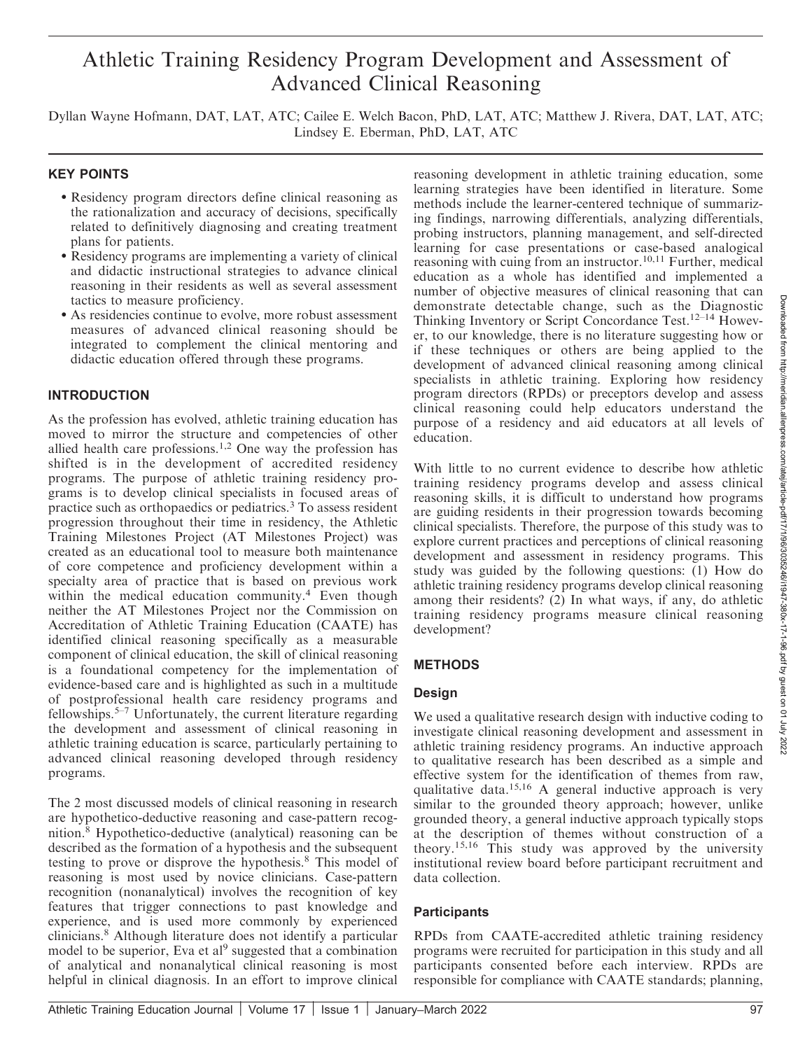# Athletic Training Residency Program Development and Assessment of Advanced Clinical Reasoning

Dyllan Wayne Hofmann, DAT, LAT, ATC; Cailee E. Welch Bacon, PhD, LAT, ATC; Matthew J. Rivera, DAT, LAT, ATC; Lindsey E. Eberman, PhD, LAT, ATC

#### KEY POINTS

- Residency program directors define clinical reasoning as the rationalization and accuracy of decisions, specifically related to definitively diagnosing and creating treatment plans for patients.
- Residency programs are implementing a variety of clinical and didactic instructional strategies to advance clinical reasoning in their residents as well as several assessment tactics to measure proficiency.
- As residencies continue to evolve, more robust assessment measures of advanced clinical reasoning should be integrated to complement the clinical mentoring and didactic education offered through these programs.

#### INTRODUCTION

As the profession has evolved, athletic training education has moved to mirror the structure and competencies of other allied health care professions.1,2 One way the profession has shifted is in the development of accredited residency programs. The purpose of athletic training residency programs is to develop clinical specialists in focused areas of practice such as orthopaedics or pediatrics.<sup>3</sup> To assess resident progression throughout their time in residency, the Athletic Training Milestones Project (AT Milestones Project) was created as an educational tool to measure both maintenance of core competence and proficiency development within a specialty area of practice that is based on previous work within the medical education community.<sup>4</sup> Even though neither the AT Milestones Project nor the Commission on Accreditation of Athletic Training Education (CAATE) has identified clinical reasoning specifically as a measurable component of clinical education, the skill of clinical reasoning is a foundational competency for the implementation of evidence-based care and is highlighted as such in a multitude of postprofessional health care residency programs and fellowships.<sup>5–7</sup> Unfortunately, the current literature regarding the development and assessment of clinical reasoning in athletic training education is scarce, particularly pertaining to advanced clinical reasoning developed through residency programs.

The 2 most discussed models of clinical reasoning in research are hypothetico-deductive reasoning and case-pattern recognition.<sup>8</sup> Hypothetico-deductive (analytical) reasoning can be described as the formation of a hypothesis and the subsequent testing to prove or disprove the hypothesis.<sup>8</sup> This model of reasoning is most used by novice clinicians. Case-pattern recognition (nonanalytical) involves the recognition of key features that trigger connections to past knowledge and experience, and is used more commonly by experienced clinicians.<sup>8</sup> Although literature does not identify a particular model to be superior, Eva et al<sup>9</sup> suggested that a combination of analytical and nonanalytical clinical reasoning is most helpful in clinical diagnosis. In an effort to improve clinical

reasoning development in athletic training education, some learning strategies have been identified in literature. Some methods include the learner-centered technique of summarizing findings, narrowing differentials, analyzing differentials, probing instructors, planning management, and self-directed learning for case presentations or case-based analogical reasoning with cuing from an instructor.<sup>10,11</sup> Further, medical education as a whole has identified and implemented a number of objective measures of clinical reasoning that can demonstrate detectable change, such as the Diagnostic Thinking Inventory or Script Concordance Test.12–14 However, to our knowledge, there is no literature suggesting how or if these techniques or others are being applied to the development of advanced clinical reasoning among clinical specialists in athletic training. Exploring how residency program directors (RPDs) or preceptors develop and assess clinical reasoning could help educators understand the purpose of a residency and aid educators at all levels of education.

With little to no current evidence to describe how athletic training residency programs develop and assess clinical reasoning skills, it is difficult to understand how programs are guiding residents in their progression towards becoming clinical specialists. Therefore, the purpose of this study was to explore current practices and perceptions of clinical reasoning development and assessment in residency programs. This study was guided by the following questions: (1) How do athletic training residency programs develop clinical reasoning among their residents? (2) In what ways, if any, do athletic training residency programs measure clinical reasoning development?

#### METHODS

#### Design

We used a qualitative research design with inductive coding to investigate clinical reasoning development and assessment in athletic training residency programs. An inductive approach to qualitative research has been described as a simple and effective system for the identification of themes from raw, qualitative data.15,16 A general inductive approach is very similar to the grounded theory approach; however, unlike grounded theory, a general inductive approach typically stops at the description of themes without construction of a theory.15,16 This study was approved by the university institutional review board before participant recruitment and data collection.

#### **Participants**

RPDs from CAATE-accredited athletic training residency programs were recruited for participation in this study and all participants consented before each interview. RPDs are responsible for compliance with CAATE standards; planning,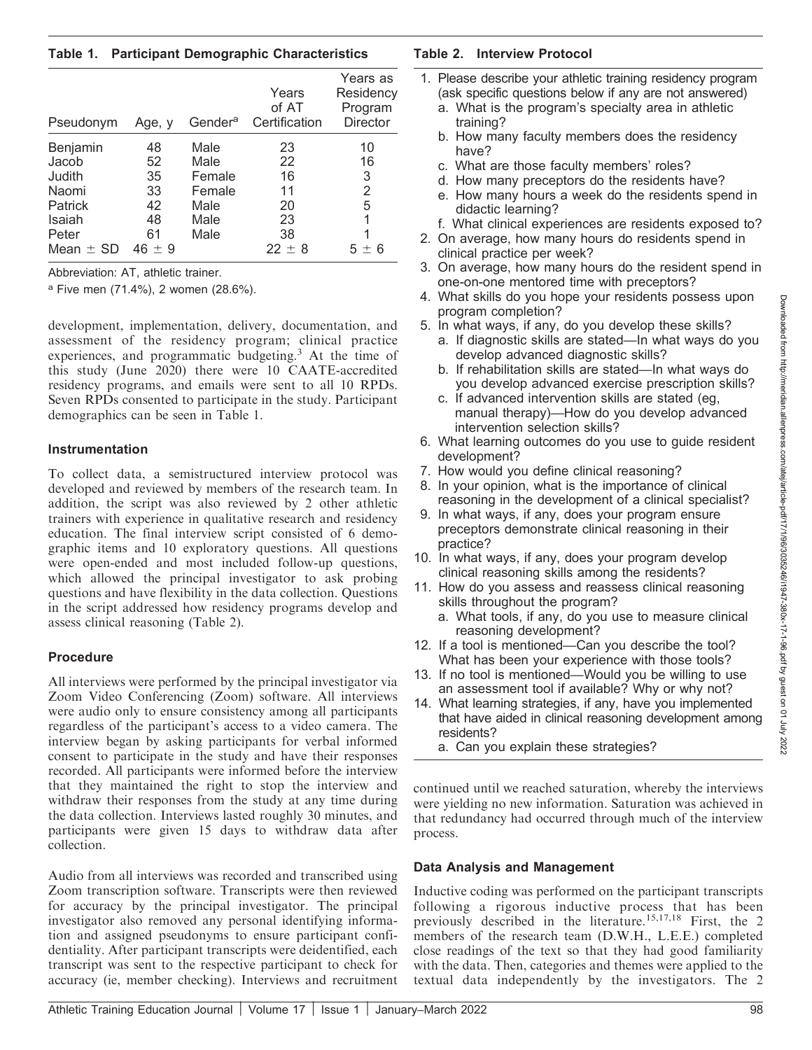Table 1. Participant Demographic Characteristics

| Pseudonym   | Age, y   | Gender <sup>a</sup> | Years<br>of AT<br>Certification | Years as<br>Residency<br>Program<br>Director |
|-------------|----------|---------------------|---------------------------------|----------------------------------------------|
| Benjamin    | 48       | Male                | 23                              | 10                                           |
| Jacob       | 52       | Male                | 22                              | 16                                           |
| Judith      | 35       | Female              | 16                              | 3                                            |
| Naomi       | 33       | Female              | 11                              | 2                                            |
| Patrick     | 42       | Male                | 20                              | 5                                            |
| Isaiah      | 48       | Male                | 23                              |                                              |
| Peter       | 61       | Male                | 38                              |                                              |
| Mean $+$ SD | $46 + 9$ |                     | $22 + 8$                        | 6                                            |

Abbreviation: AT, athletic trainer.

<sup>a</sup> Five men (71.4%), 2 women (28.6%).

development, implementation, delivery, documentation, and assessment of the residency program; clinical practice experiences, and programmatic budgeting.<sup>3</sup> At the time of this study (June 2020) there were 10 CAATE-accredited residency programs, and emails were sent to all 10 RPDs. Seven RPDs consented to participate in the study. Participant demographics can be seen in Table 1.

#### Instrumentation

To collect data, a semistructured interview protocol was developed and reviewed by members of the research team. In addition, the script was also reviewed by 2 other athletic trainers with experience in qualitative research and residency education. The final interview script consisted of 6 demographic items and 10 exploratory questions. All questions were open-ended and most included follow-up questions, which allowed the principal investigator to ask probing questions and have flexibility in the data collection. Questions in the script addressed how residency programs develop and assess clinical reasoning (Table 2).

# Procedure

All interviews were performed by the principal investigator via Zoom Video Conferencing (Zoom) software. All interviews were audio only to ensure consistency among all participants regardless of the participant's access to a video camera. The interview began by asking participants for verbal informed consent to participate in the study and have their responses recorded. All participants were informed before the interview that they maintained the right to stop the interview and withdraw their responses from the study at any time during the data collection. Interviews lasted roughly 30 minutes, and participants were given 15 days to withdraw data after collection.

Audio from all interviews was recorded and transcribed using Zoom transcription software. Transcripts were then reviewed for accuracy by the principal investigator. The principal investigator also removed any personal identifying information and assigned pseudonyms to ensure participant confidentiality. After participant transcripts were deidentified, each transcript was sent to the respective participant to check for accuracy (ie, member checking). Interviews and recruitment

# Table 2. Interview Protocol

- 1. Please describe your athletic training residency program (ask specific questions below if any are not answered)
	- a. What is the program's specialty area in athletic training?
	- b. How many faculty members does the residency have?
	- c. What are those faculty members' roles?
	- d. How many preceptors do the residents have?
	- e. How many hours a week do the residents spend in didactic learning?
	- f. What clinical experiences are residents exposed to?
- 2. On average, how many hours do residents spend in clinical practice per week?
- 3. On average, how many hours do the resident spend in one-on-one mentored time with preceptors?
- 4. What skills do you hope your residents possess upon program completion?
- 5. In what ways, if any, do you develop these skills? a. If diagnostic skills are stated—In what ways do you develop advanced diagnostic skills?
	- b. If rehabilitation skills are stated—In what ways do you develop advanced exercise prescription skills?
	- c. If advanced intervention skills are stated (eg, manual therapy)—How do you develop advanced intervention selection skills?
- 6. What learning outcomes do you use to guide resident development?
- 7. How would you define clinical reasoning?
- 8. In your opinion, what is the importance of clinical reasoning in the development of a clinical specialist?
- 9. In what ways, if any, does your program ensure preceptors demonstrate clinical reasoning in their practice?
- 10. In what ways, if any, does your program develop clinical reasoning skills among the residents?
- 11. How do you assess and reassess clinical reasoning skills throughout the program?
	- a. What tools, if any, do you use to measure clinical reasoning development?
- 12. If a tool is mentioned—Can you describe the tool? What has been your experience with those tools?
- 13. If no tool is mentioned—Would you be willing to use an assessment tool if available? Why or why not?
- 14. What learning strategies, if any, have you implemented that have aided in clinical reasoning development among residents?
	- a. Can you explain these strategies?

continued until we reached saturation, whereby the interviews were yielding no new information. Saturation was achieved in that redundancy had occurred through much of the interview process.

# Data Analysis and Management

Inductive coding was performed on the participant transcripts following a rigorous inductive process that has been previously described in the literature.15,17,18 First, the 2 members of the research team (D.W.H., L.E.E.) completed close readings of the text so that they had good familiarity with the data. Then, categories and themes were applied to the textual data independently by the investigators. The 2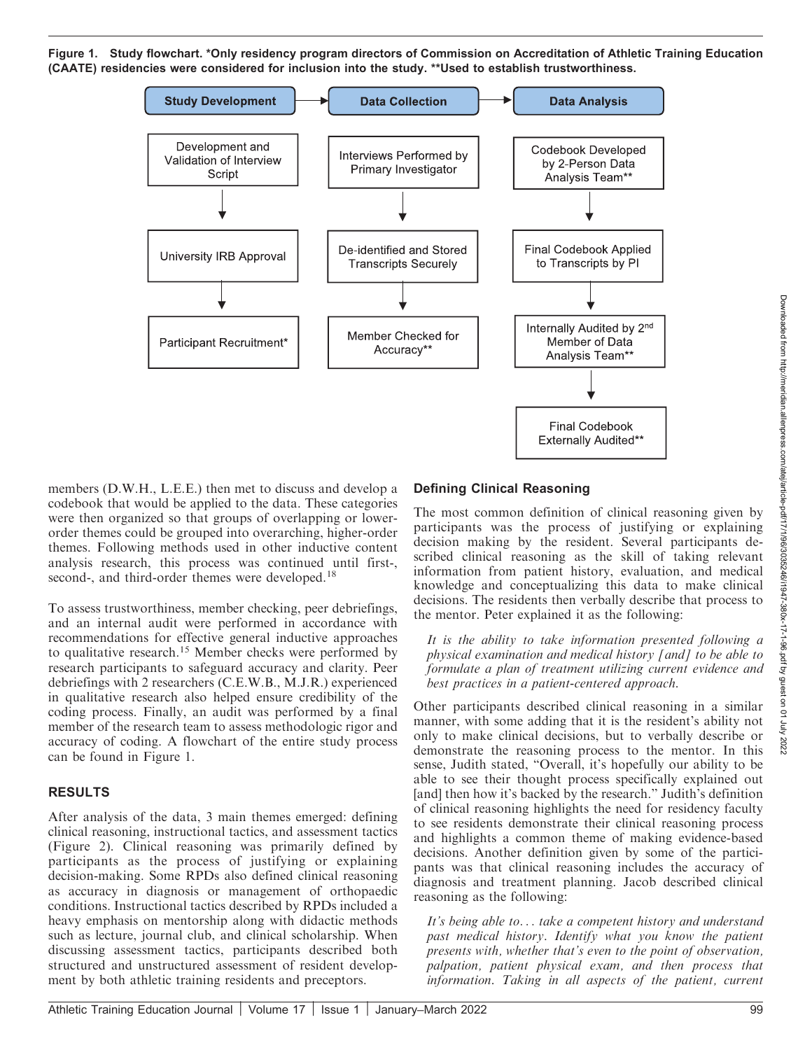Figure 1. Study flowchart. \*Only residency program directors of Commission on Accreditation of Athletic Training Education (CAATE) residencies were considered for inclusion into the study. \*\*Used to establish trustworthiness.



members (D.W.H., L.E.E.) then met to discuss and develop a codebook that would be applied to the data. These categories were then organized so that groups of overlapping or lowerorder themes could be grouped into overarching, higher-order themes. Following methods used in other inductive content analysis research, this process was continued until first-, second-, and third-order themes were developed.<sup>18</sup>

To assess trustworthiness, member checking, peer debriefings, and an internal audit were performed in accordance with recommendations for effective general inductive approaches to qualitative research.<sup>15</sup> Member checks were performed by research participants to safeguard accuracy and clarity. Peer debriefings with 2 researchers (C.E.W.B., M.J.R.) experienced in qualitative research also helped ensure credibility of the coding process. Finally, an audit was performed by a final member of the research team to assess methodologic rigor and accuracy of coding. A flowchart of the entire study process can be found in Figure 1.

#### RESULTS

After analysis of the data, 3 main themes emerged: defining clinical reasoning, instructional tactics, and assessment tactics (Figure 2). Clinical reasoning was primarily defined by participants as the process of justifying or explaining decision-making. Some RPDs also defined clinical reasoning as accuracy in diagnosis or management of orthopaedic conditions. Instructional tactics described by RPDs included a heavy emphasis on mentorship along with didactic methods such as lecture, journal club, and clinical scholarship. When discussing assessment tactics, participants described both structured and unstructured assessment of resident development by both athletic training residents and preceptors.

# Defining Clinical Reasoning

The most common definition of clinical reasoning given by participants was the process of justifying or explaining decision making by the resident. Several participants described clinical reasoning as the skill of taking relevant information from patient history, evaluation, and medical knowledge and conceptualizing this data to make clinical decisions. The residents then verbally describe that process to the mentor. Peter explained it as the following:

It is the ability to take information presented following a physical examination and medical history [and] to be able to formulate a plan of treatment utilizing current evidence and best practices in a patient-centered approach.

Other participants described clinical reasoning in a similar manner, with some adding that it is the resident's ability not only to make clinical decisions, but to verbally describe or demonstrate the reasoning process to the mentor. In this sense, Judith stated, ''Overall, it's hopefully our ability to be able to see their thought process specifically explained out [and] then how it's backed by the research.'' Judith's definition of clinical reasoning highlights the need for residency faculty to see residents demonstrate their clinical reasoning process and highlights a common theme of making evidence-based decisions. Another definition given by some of the participants was that clinical reasoning includes the accuracy of diagnosis and treatment planning. Jacob described clinical reasoning as the following:

It's being able to... take a competent history and understand past medical history. Identify what you know the patient presents with, whether that's even to the point of observation, palpation, patient physical exam, and then process that information. Taking in all aspects of the patient, current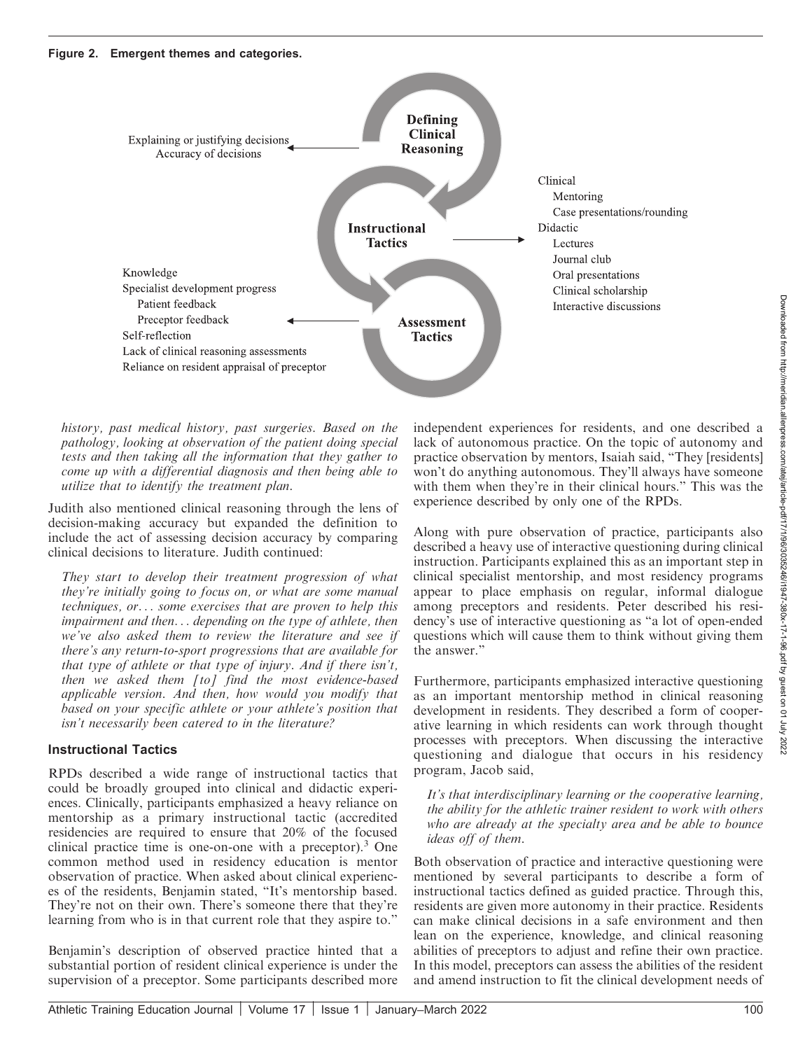

history, past medical history, past surgeries. Based on the pathology, looking at observation of the patient doing special tests and then taking all the information that they gather to come up with a differential diagnosis and then being able to utilize that to identify the treatment plan.

Judith also mentioned clinical reasoning through the lens of decision-making accuracy but expanded the definition to include the act of assessing decision accuracy by comparing clinical decisions to literature. Judith continued:

They start to develop their treatment progression of what they're initially going to focus on, or what are some manual techniques, or... some exercises that are proven to help this impairment and then... depending on the type of athlete, then we've also asked them to review the literature and see if there's any return-to-sport progressions that are available for that type of athlete or that type of injury. And if there isn't, then we asked them [to] find the most evidence-based applicable version. And then, how would you modify that based on your specific athlete or your athlete's position that isn't necessarily been catered to in the literature?

#### Instructional Tactics

RPDs described a wide range of instructional tactics that could be broadly grouped into clinical and didactic experiences. Clinically, participants emphasized a heavy reliance on mentorship as a primary instructional tactic (accredited residencies are required to ensure that 20% of the focused clinical practice time is one-on-one with a preceptor).<sup>3</sup> One common method used in residency education is mentor observation of practice. When asked about clinical experiences of the residents, Benjamin stated, ''It's mentorship based. They're not on their own. There's someone there that they're learning from who is in that current role that they aspire to.''

Benjamin's description of observed practice hinted that a substantial portion of resident clinical experience is under the supervision of a preceptor. Some participants described more

independent experiences for residents, and one described a lack of autonomous practice. On the topic of autonomy and practice observation by mentors, Isaiah said, ''They [residents] won't do anything autonomous. They'll always have someone with them when they're in their clinical hours.'' This was the experience described by only one of the RPDs.

Along with pure observation of practice, participants also described a heavy use of interactive questioning during clinical instruction. Participants explained this as an important step in clinical specialist mentorship, and most residency programs appear to place emphasis on regular, informal dialogue among preceptors and residents. Peter described his residency's use of interactive questioning as ''a lot of open-ended questions which will cause them to think without giving them the answer.''

Furthermore, participants emphasized interactive questioning as an important mentorship method in clinical reasoning development in residents. They described a form of cooperative learning in which residents can work through thought processes with preceptors. When discussing the interactive questioning and dialogue that occurs in his residency program, Jacob said,

It's that interdisciplinary learning or the cooperative learning, the ability for the athletic trainer resident to work with others who are already at the specialty area and be able to bounce ideas off of them.

Both observation of practice and interactive questioning were mentioned by several participants to describe a form of instructional tactics defined as guided practice. Through this, residents are given more autonomy in their practice. Residents can make clinical decisions in a safe environment and then lean on the experience, knowledge, and clinical reasoning abilities of preceptors to adjust and refine their own practice. In this model, preceptors can assess the abilities of the resident and amend instruction to fit the clinical development needs of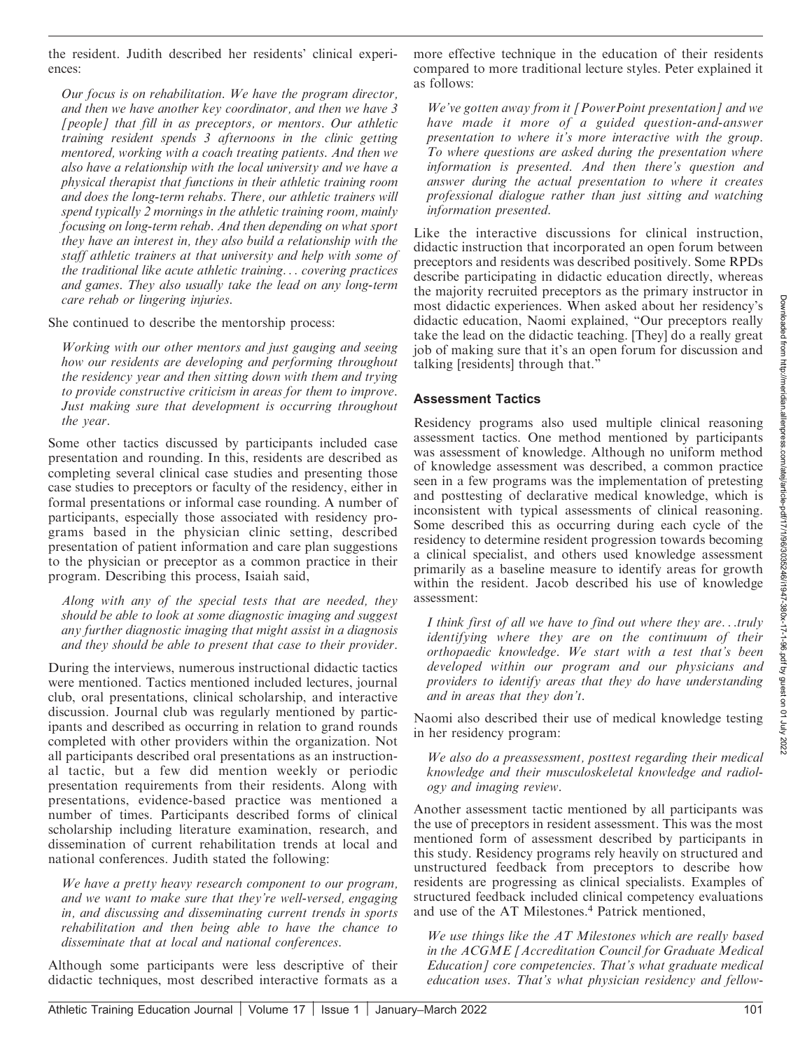the resident. Judith described her residents' clinical experiences:

Our focus is on rehabilitation. We have the program director, and then we have another key coordinator, and then we have 3 [people] that fill in as preceptors, or mentors. Our athletic training resident spends 3 afternoons in the clinic getting mentored, working with a coach treating patients. And then we also have a relationship with the local university and we have a physical therapist that functions in their athletic training room and does the long-term rehabs. There, our athletic trainers will spend typically 2 mornings in the athletic training room, mainly focusing on long-term rehab. And then depending on what sport they have an interest in, they also build a relationship with the staff athletic trainers at that university and help with some of the traditional like acute athletic training... covering practices and games. They also usually take the lead on any long-term care rehab or lingering injuries.

She continued to describe the mentorship process:

Working with our other mentors and just gauging and seeing how our residents are developing and performing throughout the residency year and then sitting down with them and trying to provide constructive criticism in areas for them to improve. Just making sure that development is occurring throughout the year.

Some other tactics discussed by participants included case presentation and rounding. In this, residents are described as completing several clinical case studies and presenting those case studies to preceptors or faculty of the residency, either in formal presentations or informal case rounding. A number of participants, especially those associated with residency programs based in the physician clinic setting, described presentation of patient information and care plan suggestions to the physician or preceptor as a common practice in their program. Describing this process, Isaiah said,

Along with any of the special tests that are needed, they should be able to look at some diagnostic imaging and suggest any further diagnostic imaging that might assist in a diagnosis and they should be able to present that case to their provider.

During the interviews, numerous instructional didactic tactics were mentioned. Tactics mentioned included lectures, journal club, oral presentations, clinical scholarship, and interactive discussion. Journal club was regularly mentioned by participants and described as occurring in relation to grand rounds completed with other providers within the organization. Not all participants described oral presentations as an instructional tactic, but a few did mention weekly or periodic presentation requirements from their residents. Along with presentations, evidence-based practice was mentioned a number of times. Participants described forms of clinical scholarship including literature examination, research, and dissemination of current rehabilitation trends at local and national conferences. Judith stated the following:

We have a pretty heavy research component to our program, and we want to make sure that they're well-versed, engaging in, and discussing and disseminating current trends in sports rehabilitation and then being able to have the chance to disseminate that at local and national conferences.

Although some participants were less descriptive of their didactic techniques, most described interactive formats as a more effective technique in the education of their residents compared to more traditional lecture styles. Peter explained it as follows:

We've gotten away from it [PowerPoint presentation] and we have made it more of a guided question-and-answer presentation to where it's more interactive with the group. To where questions are asked during the presentation where information is presented. And then there's question and answer during the actual presentation to where it creates professional dialogue rather than just sitting and watching information presented.

Like the interactive discussions for clinical instruction, didactic instruction that incorporated an open forum between preceptors and residents was described positively. Some RPDs describe participating in didactic education directly, whereas the majority recruited preceptors as the primary instructor in most didactic experiences. When asked about her residency's didactic education, Naomi explained, ''Our preceptors really take the lead on the didactic teaching. [They] do a really great job of making sure that it's an open forum for discussion and talking [residents] through that.''

#### Assessment Tactics

Residency programs also used multiple clinical reasoning assessment tactics. One method mentioned by participants was assessment of knowledge. Although no uniform method of knowledge assessment was described, a common practice seen in a few programs was the implementation of pretesting and posttesting of declarative medical knowledge, which is inconsistent with typical assessments of clinical reasoning. Some described this as occurring during each cycle of the residency to determine resident progression towards becoming a clinical specialist, and others used knowledge assessment primarily as a baseline measure to identify areas for growth within the resident. Jacob described his use of knowledge assessment:

I think first of all we have to find out where they are...truly identifying where they are on the continuum of their orthopaedic knowledge. We start with a test that's been developed within our program and our physicians and providers to identify areas that they do have understanding and in areas that they don't.

Naomi also described their use of medical knowledge testing in her residency program:

We also do a preassessment, posttest regarding their medical knowledge and their musculoskeletal knowledge and radiology and imaging review.

Another assessment tactic mentioned by all participants was the use of preceptors in resident assessment. This was the most mentioned form of assessment described by participants in this study. Residency programs rely heavily on structured and unstructured feedback from preceptors to describe how residents are progressing as clinical specialists. Examples of structured feedback included clinical competency evaluations and use of the AT Milestones.<sup>4</sup> Patrick mentioned,

We use things like the AT Milestones which are really based in the ACGME [Accreditation Council for Graduate Medical Education] core competencies. That's what graduate medical education uses. That's what physician residency and fellow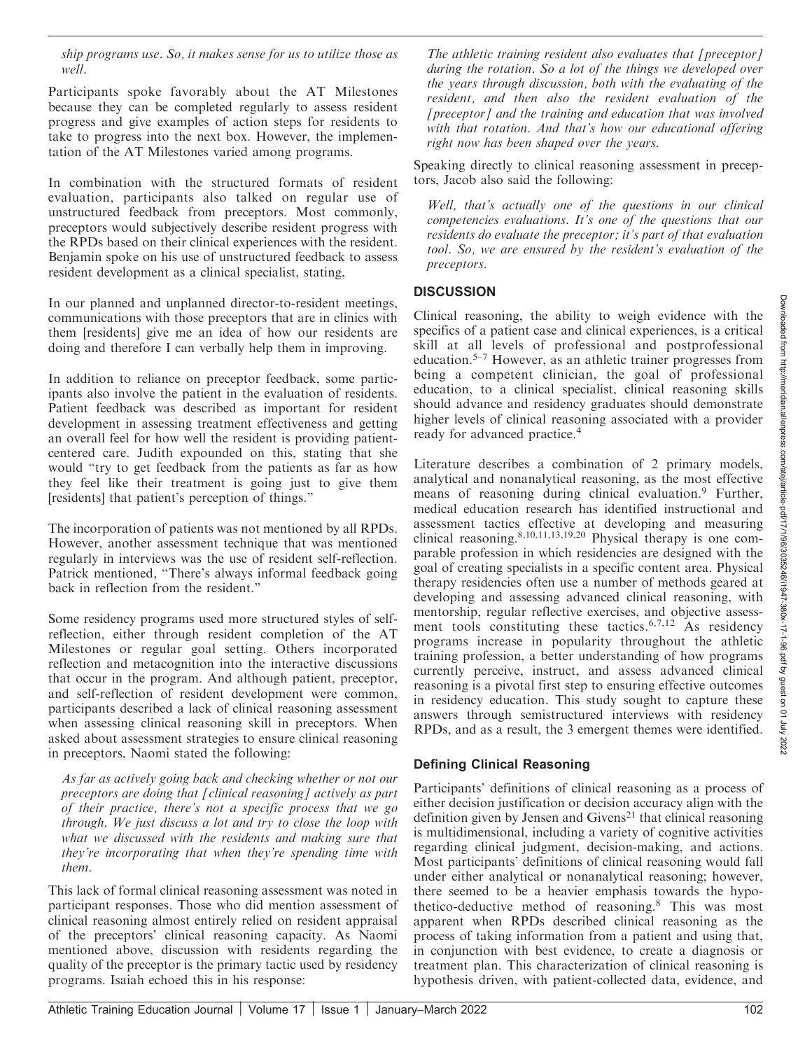ship programs use. So, it makes sense for us to utilize those as well.

Participants spoke favorably about the AT Milestones because they can be completed regularly to assess resident progress and give examples of action steps for residents to take to progress into the next box. However, the implementation of the AT Milestones varied among programs.

In combination with the structured formats of resident evaluation, participants also talked on regular use of unstructured feedback from preceptors. Most commonly, preceptors would subjectively describe resident progress with the RPDs based on their clinical experiences with the resident. Benjamin spoke on his use of unstructured feedback to assess resident development as a clinical specialist, stating,

In our planned and unplanned director-to-resident meetings, communications with those preceptors that are in clinics with them [residents] give me an idea of how our residents are doing and therefore I can verbally help them in improving.

In addition to reliance on preceptor feedback, some participants also involve the patient in the evaluation of residents. Patient feedback was described as important for resident development in assessing treatment effectiveness and getting an overall feel for how well the resident is providing patientcentered care. Judith expounded on this, stating that she would ''try to get feedback from the patients as far as how they feel like their treatment is going just to give them [residents] that patient's perception of things.''

The incorporation of patients was not mentioned by all RPDs. However, another assessment technique that was mentioned regularly in interviews was the use of resident self-reflection. Patrick mentioned, ''There's always informal feedback going back in reflection from the resident.''

Some residency programs used more structured styles of selfreflection, either through resident completion of the AT Milestones or regular goal setting. Others incorporated reflection and metacognition into the interactive discussions that occur in the program. And although patient, preceptor, and self-reflection of resident development were common, participants described a lack of clinical reasoning assessment when assessing clinical reasoning skill in preceptors. When asked about assessment strategies to ensure clinical reasoning in preceptors, Naomi stated the following:

As far as actively going back and checking whether or not our preceptors are doing that [clinical reasoning] actively as part of their practice, there's not a specific process that we go through. We just discuss a lot and try to close the loop with what we discussed with the residents and making sure that they're incorporating that when they're spending time with them.

This lack of formal clinical reasoning assessment was noted in participant responses. Those who did mention assessment of clinical reasoning almost entirely relied on resident appraisal of the preceptors' clinical reasoning capacity. As Naomi mentioned above, discussion with residents regarding the quality of the preceptor is the primary tactic used by residency programs. Isaiah echoed this in his response:

The athletic training resident also evaluates that [preceptor] during the rotation. So a lot of the things we developed over the years through discussion, both with the evaluating of the resident, and then also the resident evaluation of the [preceptor] and the training and education that was involved with that rotation. And that's how our educational offering right now has been shaped over the years.

Speaking directly to clinical reasoning assessment in preceptors, Jacob also said the following:

Well, that's actually one of the questions in our clinical competencies evaluations. It's one of the questions that our residents do evaluate the preceptor; it's part of that evaluation tool. So, we are ensured by the resident's evaluation of the preceptors.

# **DISCUSSION**

Clinical reasoning, the ability to weigh evidence with the specifics of a patient case and clinical experiences, is a critical skill at all levels of professional and postprofessional education.<sup>5–7</sup> However, as an athletic trainer progresses from being a competent clinician, the goal of professional education, to a clinical specialist, clinical reasoning skills should advance and residency graduates should demonstrate higher levels of clinical reasoning associated with a provider ready for advanced practice.<sup>4</sup>

Literature describes a combination of 2 primary models, analytical and nonanalytical reasoning, as the most effective means of reasoning during clinical evaluation.<sup>9</sup> Further, medical education research has identified instructional and assessment tactics effective at developing and measuring clinical reasoning.8,10,11,13,19,20 Physical therapy is one comparable profession in which residencies are designed with the goal of creating specialists in a specific content area. Physical therapy residencies often use a number of methods geared at developing and assessing advanced clinical reasoning, with mentorship, regular reflective exercises, and objective assessment tools constituting these tactics.<sup>6,7,12</sup> As residency programs increase in popularity throughout the athletic training profession, a better understanding of how programs currently perceive, instruct, and assess advanced clinical reasoning is a pivotal first step to ensuring effective outcomes in residency education. This study sought to capture these answers through semistructured interviews with residency RPDs, and as a result, the 3 emergent themes were identified.

#### Defining Clinical Reasoning

Participants' definitions of clinical reasoning as a process of either decision justification or decision accuracy align with the definition given by Jensen and Givens<sup>21</sup> that clinical reasoning is multidimensional, including a variety of cognitive activities regarding clinical judgment, decision-making, and actions. Most participants' definitions of clinical reasoning would fall under either analytical or nonanalytical reasoning; however, there seemed to be a heavier emphasis towards the hypothetico-deductive method of reasoning.<sup>8</sup> This was most apparent when RPDs described clinical reasoning as the process of taking information from a patient and using that, in conjunction with best evidence, to create a diagnosis or treatment plan. This characterization of clinical reasoning is hypothesis driven, with patient-collected data, evidence, and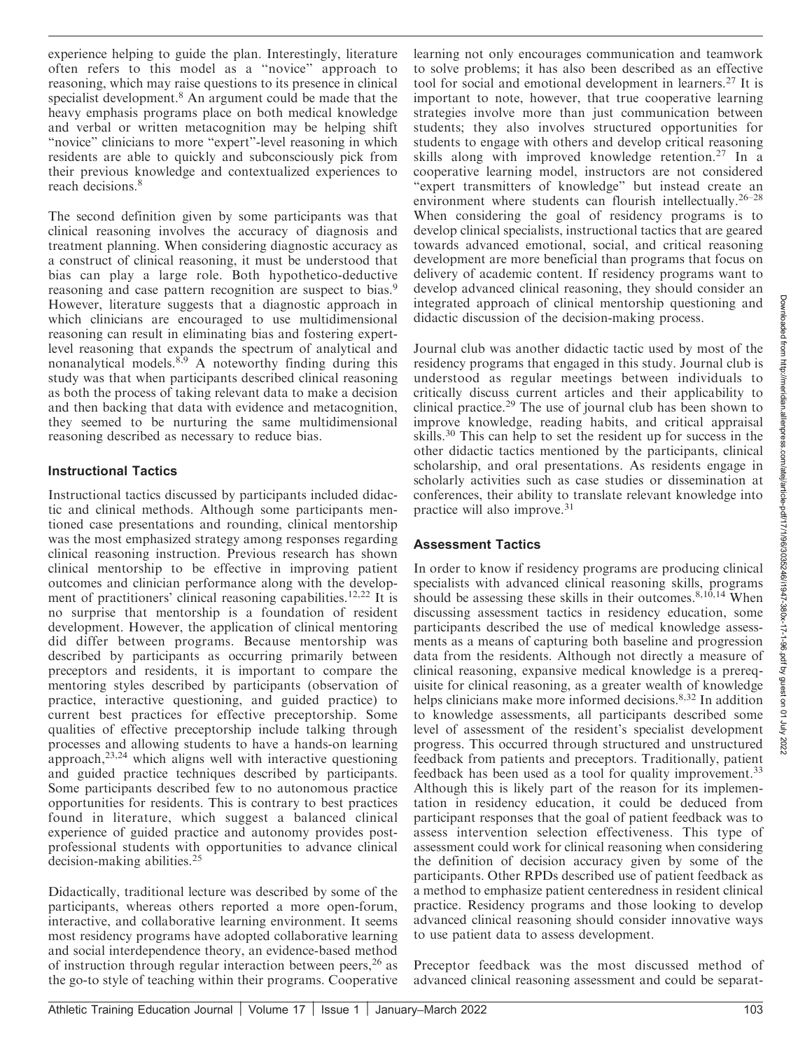Ánr 202

experience helping to guide the plan. Interestingly, literature often refers to this model as a ''novice'' approach to reasoning, which may raise questions to its presence in clinical specialist development.<sup>8</sup> An argument could be made that the heavy emphasis programs place on both medical knowledge and verbal or written metacognition may be helping shift "novice" clinicians to more "expert"-level reasoning in which residents are able to quickly and subconsciously pick from their previous knowledge and contextualized experiences to reach decisions.<sup>8</sup>

The second definition given by some participants was that clinical reasoning involves the accuracy of diagnosis and treatment planning. When considering diagnostic accuracy as a construct of clinical reasoning, it must be understood that bias can play a large role. Both hypothetico-deductive reasoning and case pattern recognition are suspect to bias.<sup>9</sup> However, literature suggests that a diagnostic approach in which clinicians are encouraged to use multidimensional reasoning can result in eliminating bias and fostering expertlevel reasoning that expands the spectrum of analytical and nonanalytical models. $8,9$  A noteworthy finding during this study was that when participants described clinical reasoning as both the process of taking relevant data to make a decision and then backing that data with evidence and metacognition, they seemed to be nurturing the same multidimensional reasoning described as necessary to reduce bias.

#### Instructional Tactics

Instructional tactics discussed by participants included didactic and clinical methods. Although some participants mentioned case presentations and rounding, clinical mentorship was the most emphasized strategy among responses regarding clinical reasoning instruction. Previous research has shown clinical mentorship to be effective in improving patient outcomes and clinician performance along with the development of practitioners' clinical reasoning capabilities.<sup>12,22</sup> It is no surprise that mentorship is a foundation of resident development. However, the application of clinical mentoring did differ between programs. Because mentorship was described by participants as occurring primarily between preceptors and residents, it is important to compare the mentoring styles described by participants (observation of practice, interactive questioning, and guided practice) to current best practices for effective preceptorship. Some qualities of effective preceptorship include talking through processes and allowing students to have a hands-on learning approach, $23,24$  which aligns well with interactive questioning and guided practice techniques described by participants. Some participants described few to no autonomous practice opportunities for residents. This is contrary to best practices found in literature, which suggest a balanced clinical experience of guided practice and autonomy provides postprofessional students with opportunities to advance clinical decision-making abilities.<sup>25</sup>

Didactically, traditional lecture was described by some of the participants, whereas others reported a more open-forum, interactive, and collaborative learning environment. It seems most residency programs have adopted collaborative learning and social interdependence theory, an evidence-based method of instruction through regular interaction between peers,  $26$  as the go-to style of teaching within their programs. Cooperative

learning not only encourages communication and teamwork to solve problems; it has also been described as an effective tool for social and emotional development in learners.<sup>27</sup> It is important to note, however, that true cooperative learning strategies involve more than just communication between students; they also involves structured opportunities for students to engage with others and develop critical reasoning skills along with improved knowledge retention.<sup>27</sup> In a cooperative learning model, instructors are not considered "expert transmitters of knowledge" but instead create an environment where students can flourish intellectually.26–28 When considering the goal of residency programs is to develop clinical specialists, instructional tactics that are geared towards advanced emotional, social, and critical reasoning development are more beneficial than programs that focus on delivery of academic content. If residency programs want to develop advanced clinical reasoning, they should consider an integrated approach of clinical mentorship questioning and didactic discussion of the decision-making process.

Journal club was another didactic tactic used by most of the residency programs that engaged in this study. Journal club is understood as regular meetings between individuals to critically discuss current articles and their applicability to clinical practice.<sup>29</sup> The use of journal club has been shown to improve knowledge, reading habits, and critical appraisal skills.<sup>30</sup> This can help to set the resident up for success in the other didactic tactics mentioned by the participants, clinical scholarship, and oral presentations. As residents engage in scholarly activities such as case studies or dissemination at conferences, their ability to translate relevant knowledge into practice will also improve.31

# Assessment Tactics

In order to know if residency programs are producing clinical specialists with advanced clinical reasoning skills, programs should be assessing these skills in their outcomes.<sup>8,10,14</sup> When discussing assessment tactics in residency education, some participants described the use of medical knowledge assessments as a means of capturing both baseline and progression data from the residents. Although not directly a measure of clinical reasoning, expansive medical knowledge is a prerequisite for clinical reasoning, as a greater wealth of knowledge helps clinicians make more informed decisions.<sup>8,32</sup> In addition to knowledge assessments, all participants described some level of assessment of the resident's specialist development progress. This occurred through structured and unstructured feedback from patients and preceptors. Traditionally, patient feedback has been used as a tool for quality improvement.<sup>33</sup> Although this is likely part of the reason for its implementation in residency education, it could be deduced from participant responses that the goal of patient feedback was to assess intervention selection effectiveness. This type of assessment could work for clinical reasoning when considering the definition of decision accuracy given by some of the participants. Other RPDs described use of patient feedback as a method to emphasize patient centeredness in resident clinical practice. Residency programs and those looking to develop advanced clinical reasoning should consider innovative ways to use patient data to assess development.

Preceptor feedback was the most discussed method of advanced clinical reasoning assessment and could be separat-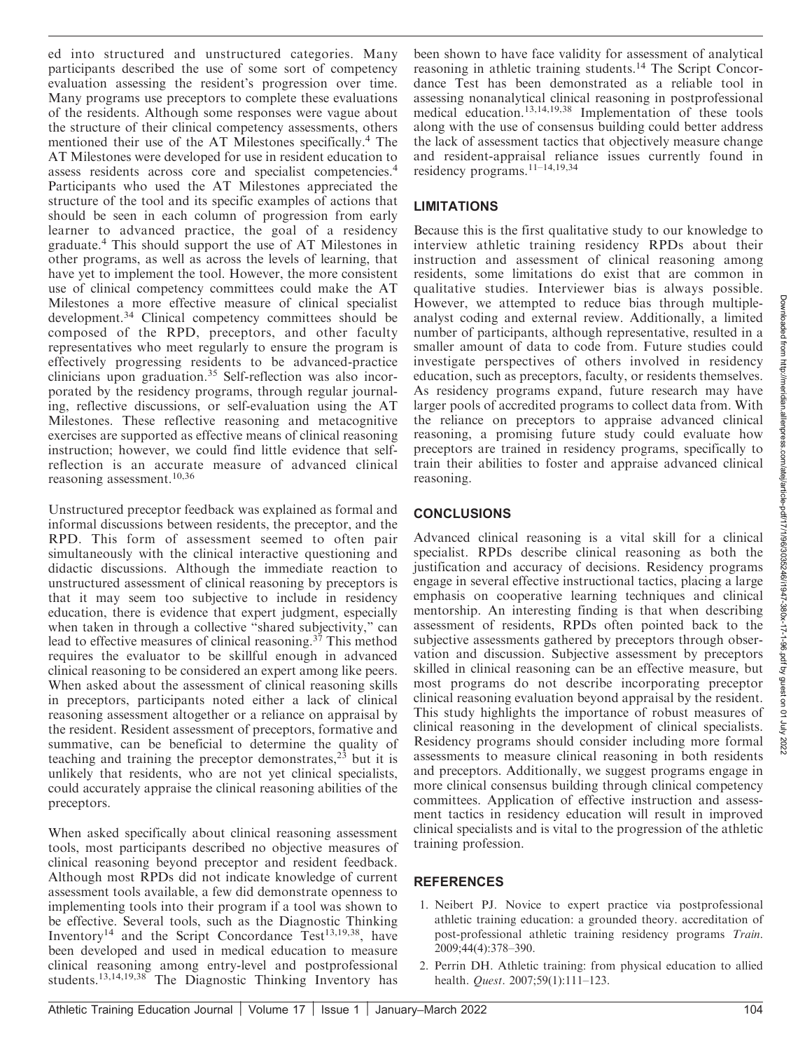ed into structured and unstructured categories. Many participants described the use of some sort of competency evaluation assessing the resident's progression over time. Many programs use preceptors to complete these evaluations of the residents. Although some responses were vague about the structure of their clinical competency assessments, others mentioned their use of the AT Milestones specifically.<sup>4</sup> The AT Milestones were developed for use in resident education to assess residents across core and specialist competencies.<sup>4</sup> Participants who used the AT Milestones appreciated the structure of the tool and its specific examples of actions that should be seen in each column of progression from early learner to advanced practice, the goal of a residency graduate.<sup>4</sup> This should support the use of AT Milestones in other programs, as well as across the levels of learning, that have yet to implement the tool. However, the more consistent use of clinical competency committees could make the AT Milestones a more effective measure of clinical specialist development.<sup>34</sup> Clinical competency committees should be composed of the RPD, preceptors, and other faculty representatives who meet regularly to ensure the program is effectively progressing residents to be advanced-practice clinicians upon graduation.<sup>35</sup> Self-reflection was also incorporated by the residency programs, through regular journaling, reflective discussions, or self-evaluation using the AT Milestones. These reflective reasoning and metacognitive exercises are supported as effective means of clinical reasoning instruction; however, we could find little evidence that selfreflection is an accurate measure of advanced clinical reasoning assessment.10,36

Unstructured preceptor feedback was explained as formal and informal discussions between residents, the preceptor, and the RPD. This form of assessment seemed to often pair simultaneously with the clinical interactive questioning and didactic discussions. Although the immediate reaction to unstructured assessment of clinical reasoning by preceptors is that it may seem too subjective to include in residency education, there is evidence that expert judgment, especially when taken in through a collective "shared subjectivity," can lead to effective measures of clinical reasoning.<sup>37</sup> This method requires the evaluator to be skillful enough in advanced clinical reasoning to be considered an expert among like peers. When asked about the assessment of clinical reasoning skills in preceptors, participants noted either a lack of clinical reasoning assessment altogether or a reliance on appraisal by the resident. Resident assessment of preceptors, formative and summative, can be beneficial to determine the quality of teaching and training the preceptor demonstrates, $^{23}$  but it is unlikely that residents, who are not yet clinical specialists, could accurately appraise the clinical reasoning abilities of the preceptors.

When asked specifically about clinical reasoning assessment tools, most participants described no objective measures of clinical reasoning beyond preceptor and resident feedback. Although most RPDs did not indicate knowledge of current assessment tools available, a few did demonstrate openness to implementing tools into their program if a tool was shown to be effective. Several tools, such as the Diagnostic Thinking Inventory<sup>14</sup> and the Script Concordance Test<sup>13,19,38</sup>, have been developed and used in medical education to measure clinical reasoning among entry-level and postprofessional students.<sup>13,14,19,38</sup> The Diagnostic Thinking Inventory has

been shown to have face validity for assessment of analytical reasoning in athletic training students.14 The Script Concordance Test has been demonstrated as a reliable tool in assessing nonanalytical clinical reasoning in postprofessional medical education.13,14,19,38 Implementation of these tools along with the use of consensus building could better address the lack of assessment tactics that objectively measure change and resident-appraisal reliance issues currently found in residency programs.11–14,19,34

# LIMITATIONS

Because this is the first qualitative study to our knowledge to interview athletic training residency RPDs about their instruction and assessment of clinical reasoning among residents, some limitations do exist that are common in qualitative studies. Interviewer bias is always possible. However, we attempted to reduce bias through multipleanalyst coding and external review. Additionally, a limited number of participants, although representative, resulted in a smaller amount of data to code from. Future studies could investigate perspectives of others involved in residency education, such as preceptors, faculty, or residents themselves. As residency programs expand, future research may have larger pools of accredited programs to collect data from. With the reliance on preceptors to appraise advanced clinical reasoning, a promising future study could evaluate how preceptors are trained in residency programs, specifically to train their abilities to foster and appraise advanced clinical reasoning.

# **CONCLUSIONS**

Advanced clinical reasoning is a vital skill for a clinical specialist. RPDs describe clinical reasoning as both the justification and accuracy of decisions. Residency programs engage in several effective instructional tactics, placing a large emphasis on cooperative learning techniques and clinical mentorship. An interesting finding is that when describing assessment of residents, RPDs often pointed back to the subjective assessments gathered by preceptors through observation and discussion. Subjective assessment by preceptors skilled in clinical reasoning can be an effective measure, but most programs do not describe incorporating preceptor clinical reasoning evaluation beyond appraisal by the resident. This study highlights the importance of robust measures of clinical reasoning in the development of clinical specialists. Residency programs should consider including more formal assessments to measure clinical reasoning in both residents and preceptors. Additionally, we suggest programs engage in more clinical consensus building through clinical competency committees. Application of effective instruction and assessment tactics in residency education will result in improved clinical specialists and is vital to the progression of the athletic training profession.

#### REFERENCES

- 1. Neibert PJ. Novice to expert practice via postprofessional athletic training education: a grounded theory. accreditation of post-professional athletic training residency programs Train. 2009;44(4):378–390.
- 2. Perrin DH. Athletic training: from physical education to allied health. Quest. 2007;59(1):111–123.